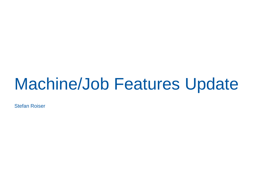### Machine/Job Features Update

Stefan Roiser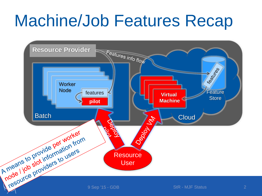# Machine/Job Features Recap

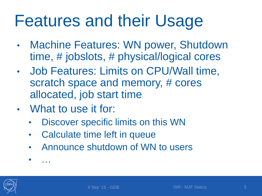### Features and their Usage

- Machine Features: WN power, Shutdown time, # jobslots, # physical/logical cores
- Job Features: Limits on CPU/Wall time, scratch space and memory, # cores allocated, job start time
- What to use it for:
	- Discover specific limits on this WN
	- Calculate time left in queue
	- Announce shutdown of WN to users
	- …

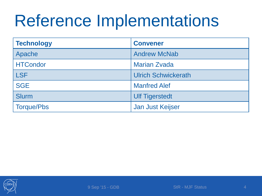# Reference Implementations

| <b>Technology</b> | <b>Convener</b>            |
|-------------------|----------------------------|
| Apache            | <b>Andrew McNab</b>        |
| <b>HTCondor</b>   | <b>Marian Zvada</b>        |
| <b>LSF</b>        | <b>Ulrich Schwickerath</b> |
| <b>SGE</b>        | <b>Manfred Alef</b>        |
| <b>Slurm</b>      | <b>Ulf Tigerstedt</b>      |
| <b>Torque/Pbs</b> | Jan Just Keijser           |

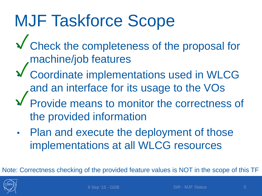# MJF Taskforce Scope

- Check the completeness of the proposal for ✓ machine/job features
- Coordinate implementations used in WLCG and an interface for its usage to the VOs ✓
- Provide means to monitor the correctness of the provided information ✓
- Plan and execute the deployment of those implementations at all WLCG resources

Note: Correctness checking of the provided feature values is NOT in the scope of this TF

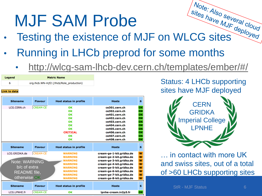# MJF SAM Probe

- **MJF SAM Probe**<br>Testing the existence of MJF on WLCG sites
- Running in LHCb preprod for some months
	- <http://wlcg-sam-lhcb-dev.cern.ch/templates/ember/#/>

| <b>Legend</b> | <b>Metric Name</b>                       |
|---------------|------------------------------------------|
| 6             | org.lhcb.WN-mjf2 (/lhcb/Role_production) |
|               |                                          |

### **Link to data**

| <b>Sitename</b>     | <b>Flavour</b>  | <b>Host status in profile</b> | <b>Hosts</b>             | 6  |
|---------------------|-----------------|-------------------------------|--------------------------|----|
| LCG.CERN.ch         | <b>CREAM-CE</b> | OK                            | ce301.cern.ch            | OK |
|                     |                 | OK                            | ce302.cern.ch            | OK |
|                     |                 | OK                            | ce401.cern.ch            | OK |
|                     |                 | OK                            | ce402.cern.ch            | OK |
|                     |                 | OK                            | ce403.cern.ch            | OK |
|                     |                 | OK                            | ce404.cern.ch            | OK |
|                     |                 | OK                            | ce405.cern.ch            | OK |
|                     |                 | <b>CRITICAL</b>               | ce406.cern.ch            | OK |
|                     |                 | OK                            | ce407.cern.ch            | OK |
|                     |                 | OK                            | ce408.cern.ch            | OK |
| <b>Sitename</b>     | <b>Flavour</b>  | <b>Host status in profile</b> | <b>Hosts</b>             | 6  |
| LCG.GRIDKA.de       | <b>CREAM-CE</b> | <b>WARNING</b>                | cream-ge-1-kit.gridka.de | W  |
|                     |                 | <b>WARNING</b>                | cream-ge-2-kit.gridka.de | W  |
| Note: WARNING       |                 | <b>WARNING</b>                | cream-ge-3-kit.gridka.de | W  |
|                     |                 | <b>WARNING</b>                | cream-ge-4-kit.gridka.de | W  |
| b/c of extra        |                 | <b>WARNING</b>                | cream-ge-5-kit.gridka.de | W  |
| <b>README</b> file, |                 | <b>WARNING</b>                | cream-ge-6-kit.gridka.de | W  |
|                     |                 | <b>WARNING</b>                | cream-ge-7-kit.gridka.de | W  |
| otherwise OK        |                 | <b>WARNING</b>                | cream-ge-8-kit.gridka.de | W  |
| <b>Sitename</b>     | <b>Flavour</b>  | <b>Host status in profile</b> | <b>Hosts</b>             | 6  |
| LCG.LPNHE.fr        | <b>CREAM-CE</b> | ОΚ                            | Ipnhe-cream.in2p3.fr     | OK |

Status: 4 LHCb supporting sites have MJF deployed



… in contact with more UK and swiss sites, out of a total of >60 LHCb supporting sites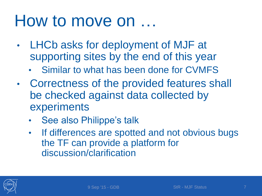### How to move on …

- LHCb asks for deployment of MJF at supporting sites by the end of this year
	- Similar to what has been done for CVMFS
- Correctness of the provided features shall be checked against data collected by experiments
	- See also Philippe's talk
	- If differences are spotted and not obvious bugs the TF can provide a platform for discussion/clarification

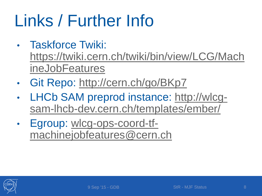# Links / Further Info

- Taskforce Twiki: [https://twiki.cern.ch/twiki/bin/view/LCG/Mach](https://twiki.cern.ch/twiki/bin/view/LCG/MachineJobFeatures) ineJobFeatures
- Git Repo:<http://cern.ch/go/BKp7>
- LHCb SAM preprod instance: http://wlcg[sam-lhcb-dev.cern.ch/templates/ember/](http://wlcg-sam-lhcb-dev.cern.ch/templates/ember/)
- Egroup: wlcg-ops-coord-tf[machinejobfeatures@cern.ch](mailto:wlcg-ops-coord-tf-machinejobfeatures@cern.ch)

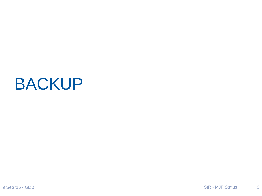### BACKUP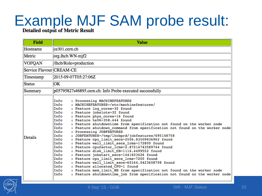# Example MJF SAM probe result:<br>Detailed output of Metric Result

| <b>Field</b>             | <b>Value</b>                                                                                                                                                                                                                                                                                                                                                                                                                                                                                                                                                                                                                                                                                                                                                                                                                                                                                                                                                                                                                                                                                                                                                |  |  |
|--------------------------|-------------------------------------------------------------------------------------------------------------------------------------------------------------------------------------------------------------------------------------------------------------------------------------------------------------------------------------------------------------------------------------------------------------------------------------------------------------------------------------------------------------------------------------------------------------------------------------------------------------------------------------------------------------------------------------------------------------------------------------------------------------------------------------------------------------------------------------------------------------------------------------------------------------------------------------------------------------------------------------------------------------------------------------------------------------------------------------------------------------------------------------------------------------|--|--|
| Hostname                 | ce301.cern.ch                                                                                                                                                                                                                                                                                                                                                                                                                                                                                                                                                                                                                                                                                                                                                                                                                                                                                                                                                                                                                                                                                                                                               |  |  |
| Metric                   | org.lhcb.WN-mjf2                                                                                                                                                                                                                                                                                                                                                                                                                                                                                                                                                                                                                                                                                                                                                                                                                                                                                                                                                                                                                                                                                                                                            |  |  |
| <b>VOFQAN</b>            | /lhcb/Role=production                                                                                                                                                                                                                                                                                                                                                                                                                                                                                                                                                                                                                                                                                                                                                                                                                                                                                                                                                                                                                                                                                                                                       |  |  |
| Service Flavour CREAM-CE |                                                                                                                                                                                                                                                                                                                                                                                                                                                                                                                                                                                                                                                                                                                                                                                                                                                                                                                                                                                                                                                                                                                                                             |  |  |
| Timestamp                | 2015-09-07T05:27:06Z                                                                                                                                                                                                                                                                                                                                                                                                                                                                                                                                                                                                                                                                                                                                                                                                                                                                                                                                                                                                                                                                                                                                        |  |  |
| <b>Status</b>            | OК                                                                                                                                                                                                                                                                                                                                                                                                                                                                                                                                                                                                                                                                                                                                                                                                                                                                                                                                                                                                                                                                                                                                                          |  |  |
| Summary                  | p05795827s46895.cern.ch: Info Probe executed successfully                                                                                                                                                                                                                                                                                                                                                                                                                                                                                                                                                                                                                                                                                                                                                                                                                                                                                                                                                                                                                                                                                                   |  |  |
| Details                  | Info<br>: Processing MACHINEFEATURES<br>Info<br>: MACHINEFEATURES=/etc/machinefeatures/<br>Info<br>: Feature log cores=32 found<br>Info<br>: Feature jobslots=32 found<br>Info<br>: Feature phys cores=16 found<br>: Feature $hs06=358.444$ found<br>Info<br>Info<br>: Feature shutdowntime from specification not found on the worker node<br>Info<br>: Feature shutdown command from specification not found on the worker node<br>: Processing JOBFEATURES<br>Info<br>: JOBFEATURES=/tmp/lhcbprd/jobfeatures/695148758<br>Info<br>: Feature cpu limit secs=2506.83509836962 found<br>Info<br>Info<br>: Feature wall limit secs lrms=172800 found<br>: Feature cpufactor lrms=2.87214743589744 found<br>Info<br>: Feature disk limit GB=1116.4499552 found<br>Info<br>: Feature jobstart secs=1441603426 found<br>Info<br>: Feature cpu limit secs lrms=7200 found<br>Info<br>: Feature wall limit secs=60164.0423608708 found<br>Info<br>: Feature allocated CPU=1 found<br>Info<br>Info<br>: Feature mem limit MB from specification not found on the worker node<br>Info<br>: Feature shutdowntime job from specification not found on the worker node |  |  |